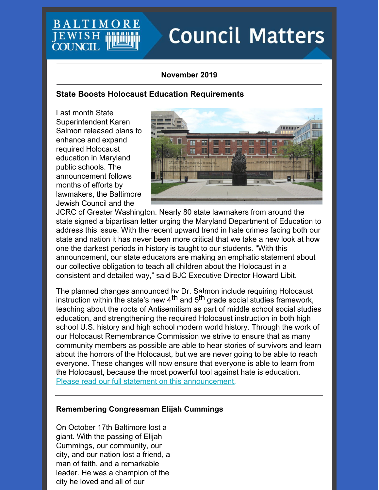# **BALTIMO JEWISH COUNCIL**

# **Council Matters**

## **November 2019**

# **State Boosts Holocaust Education Requirements**

Last month State Superintendent Karen Salmon released plans to enhance and expand required Holocaust education in Maryland public schools. The announcement follows months of efforts by lawmakers, the Baltimore Jewish Council and the



JCRC of Greater Washington. Nearly 80 state lawmakers from around the state signed a bipartisan letter urging the Maryland Department of Education to address this issue. With the recent upward trend in hate crimes facing both our state and nation it has never been more critical that we take a new look at how one the darkest periods in history is taught to our students. "With this announcement, our state educators are making an emphatic statement about our collective obligation to teach all children about the Holocaust in a consistent and detailed way," said BJC Executive Director Howard Libit.

The planned changes announced by Dr. Salmon include requiring Holocaust instruction within the state's new 4<sup>th</sup> and 5<sup>th</sup> grade social studies framework, teaching about the roots of Antisemitism as part of middle school social studies education, and strengthening the required Holocaust instruction in both high school U.S. history and high school modern world history. Through the work of our Holocaust Remembrance Commission we strive to ensure that as many community members as possible are able to hear stories of survivors and learn about the horrors of the Holocaust, but we are never going to be able to reach everyone. These changes will now ensure that everyone is able to learn from the Holocaust, because the most powerful tool against hate is education. Please read our full statement on this [announcement](https://www.baltjc.org/news-and-information).

## **Remembering Congressman Elijah Cummings**

On October 17th Baltimore lost a giant. With the passing of Elijah Cummings, our community, our city, and our nation lost a friend, a man of faith, and a remarkable leader. He was a champion of the city he loved and all of our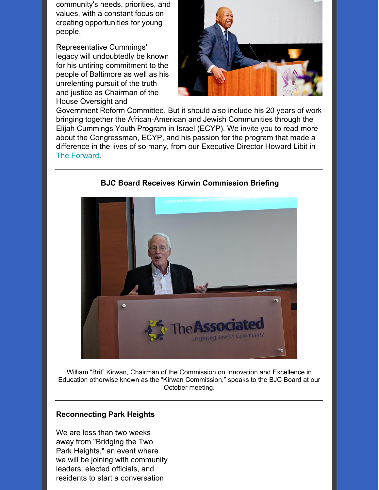community's needs, priorities, and values, with a constant focus on creating opportunities for young people.

Representative Cummings' legacy will undoubtedly be known for his untiring commitment to the people of Baltimore as well as his unrelenting pursuit of the truth and justice as Chairman of the House Oversight and



Government Reform Committee. But it should also include his 20 years of work bringing together the African-American and Jewish Communities through the Elijah Cummings Youth Program in Israel (ECYP). We invite you to read more about the Congressman, ECYP, and his passion for the program that made a difference in the lives of so many, from our Executive Director Howard Libit in The [Forward](https://forward.com/news/obituaries/433343/elijah-cummings-youth-program-israel-jewish-baltimore/).



# **BJC Board Receives Kirwin Commission Briefing**

William "Brit" Kirwan, Chairman of the Commission on Innovation and Excellence in Education otherwise known as the "Kirwan Commission," speaks to the BJC Board at our October meeting.

#### **Reconnecting Park Heights**

We are less than two weeks away from "Bridging the Two Park Heights," an event where we will be joining with community leaders, elected officials, and residents to start a conversation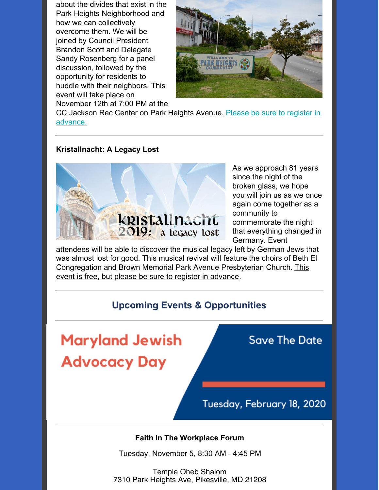about the divides that exist in the Park Heights Neighborhood and how we can collectively overcome them. We will be joined by Council President Brandon Scott and Delegate Sandy Rosenberg for a panel discussion, followed by the opportunity for residents to huddle with their neighbors. This event will take place on November 12th at 7:00 PM at the



CC Jackson Rec Center on Park Heights Avenue. Please be sure to register in [advance.](https://events.idonate.com/2parkheights)

#### **Kristallnacht: A Legacy Lost**



As we approach 81 years since the night of the broken glass, we hope you will join us as we once again come together as a community to commemorate the night that everything changed in Germany. Event

attendees will be able to discover the musical legacy left by German Jews that was almost lost for good. This musical revival will feature the choirs of Beth El [Congregation](https://www.baltjc.org/calendar/kristallnacht2019) and Brown Memorial Park Avenue Presbyterian Church. This event is free, but please be sure to register in advance.

# **Upcoming Events & Opportunities**

**Maryland Jewish Advocacy Day** 

**Save The Date** 

Tuesday, February 18, 2020

#### **Faith In The Workplace Forum**

Tuesday, November 5, 8:30 AM - 4:45 PM

Temple Oheb Shalom 7310 Park Heights Ave, Pikesville, MD 21208